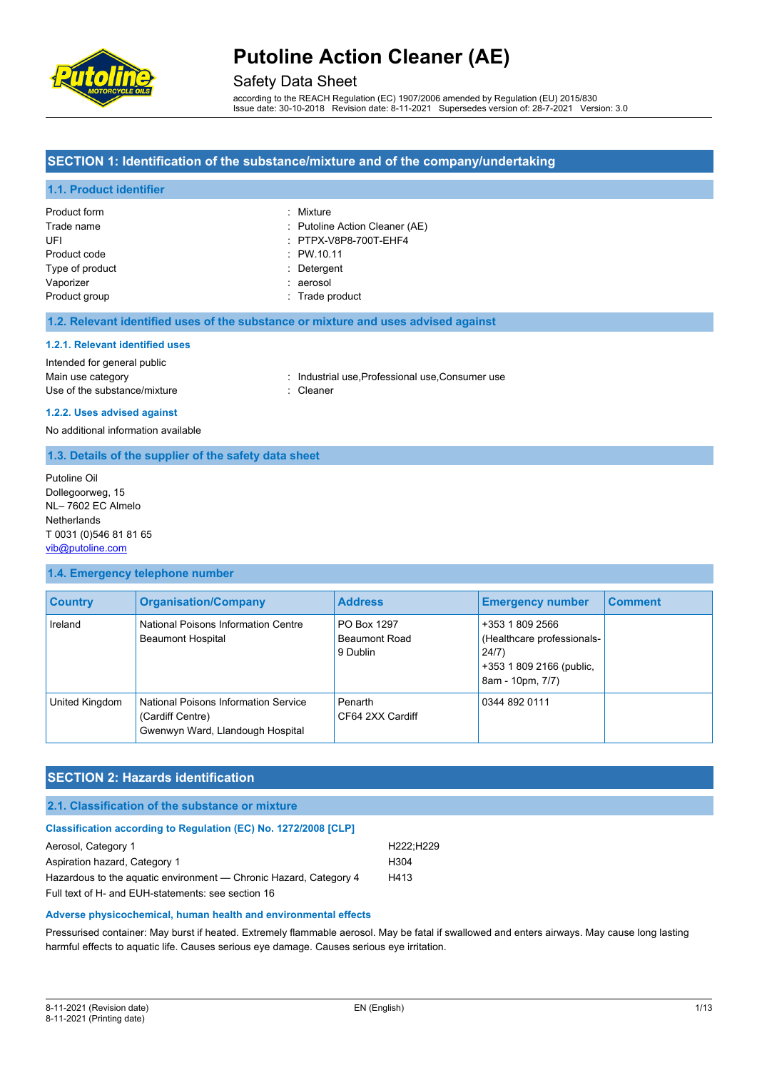

### Safety Data Sheet

according to the REACH Regulation (EC) 1907/2006 amended by Regulation (EU) 2015/830 Issue date: 30-10-2018 Revision date: 8-11-2021 Supersedes version of: 28-7-2021 Version: 3.0

#### **SECTION 1: Identification of the substance/mixture and of the company/undertaking**

#### **1.1. Product identifier**

| Product form    | : Mixture                      |
|-----------------|--------------------------------|
| Trade name      | : Putoline Action Cleaner (AE) |
| UFI             | : PTPX-V8P8-700T-EHF4          |
| Product code    | : PW.10.11                     |
| Type of product | : Detergent                    |
| Vaporizer       | : aerosol                      |
| Product group   | : Trade product                |

#### **1.2. Relevant identified uses of the substance or mixture and uses advised against**

#### **1.2.1. Relevant identified uses**

### Intended for general public

Use of the substance/mixture in the substance of the substance of the substance of the substance of the substance of the substance of the substance of the substance of the substance of the substance of the substance of the

Main use category **industrial use, Professional use, Consumer use** industrial use, Professional use, Consumer use

#### **1.2.2. Uses advised against**

No additional information available

#### **1.3. Details of the supplier of the safety data sheet**

Putoline Oil Dollegoorweg, 15 NL– 7602 EC Almelo **Netherlands** T 0031 (0)546 81 81 65 [vib@putoline.com](mailto:vib@putoline.com)

#### **1.4. Emergency telephone number**

| <b>Country</b> | <b>Organisation/Company</b>                                                                  | <b>Address</b>                                  | <b>Emergency number</b>                                                                                | <b>Comment</b> |
|----------------|----------------------------------------------------------------------------------------------|-------------------------------------------------|--------------------------------------------------------------------------------------------------------|----------------|
| Ireland        | National Poisons Information Centre<br><b>Beaumont Hospital</b>                              | PO Box 1297<br><b>Beaumont Road</b><br>9 Dublin | +353 1 809 2566<br>(Healthcare professionals-<br>24/7)<br>+353 1 809 2166 (public,<br>8am - 10pm, 7/7) |                |
| United Kingdom | National Poisons Information Service<br>(Cardiff Centre)<br>Gwenwyn Ward, Llandough Hospital | Penarth<br>CF64 2XX Cardiff                     | 0344 892 0111                                                                                          |                |

#### **SECTION 2: Hazards identification**

#### **2.1. Classification of the substance or mixture**

| <b>Classification according to Regulation (EC) No. 1272/2008 [CLP]</b> |           |
|------------------------------------------------------------------------|-----------|
| Aerosol, Category 1                                                    | H222:H229 |
| Aspiration hazard, Category 1                                          | H304      |
| Hazardous to the aquatic environment — Chronic Hazard, Category 4      | H413      |
| Full text of H- and EUH-statements: see section 16                     |           |

#### **Adverse physicochemical, human health and environmental effects**

Pressurised container: May burst if heated. Extremely flammable aerosol. May be fatal if swallowed and enters airways. May cause long lasting harmful effects to aquatic life. Causes serious eye damage. Causes serious eye irritation.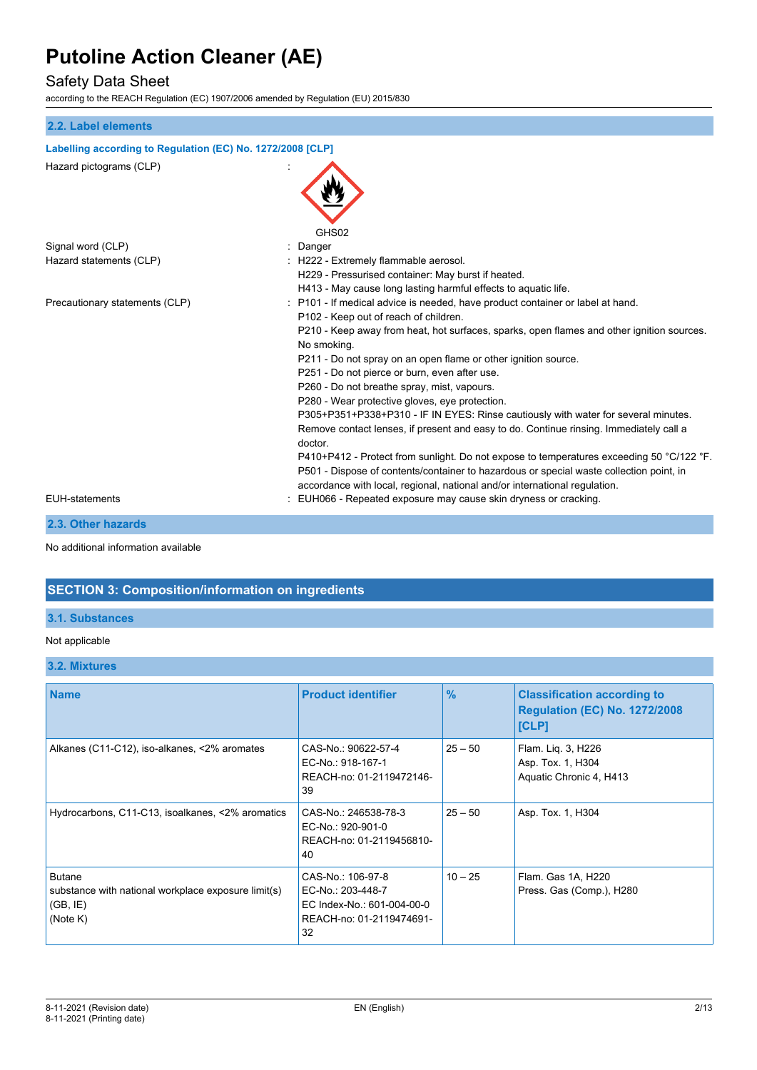## Safety Data Sheet

according to the REACH Regulation (EC) 1907/2006 amended by Regulation (EU) 2015/830

| 2.2. Label elements                                        |                                                                                                                                                                                                                                                                   |
|------------------------------------------------------------|-------------------------------------------------------------------------------------------------------------------------------------------------------------------------------------------------------------------------------------------------------------------|
| Labelling according to Regulation (EC) No. 1272/2008 [CLP] |                                                                                                                                                                                                                                                                   |
| Hazard pictograms (CLP)                                    |                                                                                                                                                                                                                                                                   |
|                                                            | GHS02                                                                                                                                                                                                                                                             |
| Signal word (CLP)                                          | Danger                                                                                                                                                                                                                                                            |
| Hazard statements (CLP)                                    | : H222 - Extremely flammable aerosol.                                                                                                                                                                                                                             |
|                                                            | H229 - Pressurised container: May burst if heated.                                                                                                                                                                                                                |
|                                                            | H413 - May cause long lasting harmful effects to aquatic life.                                                                                                                                                                                                    |
| Precautionary statements (CLP)                             | : P101 - If medical advice is needed, have product container or label at hand.                                                                                                                                                                                    |
|                                                            | P102 - Keep out of reach of children.                                                                                                                                                                                                                             |
|                                                            | P210 - Keep away from heat, hot surfaces, sparks, open flames and other ignition sources.<br>No smoking.                                                                                                                                                          |
|                                                            | P211 - Do not spray on an open flame or other ignition source.                                                                                                                                                                                                    |
|                                                            | P251 - Do not pierce or burn, even after use.                                                                                                                                                                                                                     |
|                                                            | P260 - Do not breathe spray, mist, vapours.                                                                                                                                                                                                                       |
|                                                            | P280 - Wear protective gloves, eye protection.                                                                                                                                                                                                                    |
|                                                            | P305+P351+P338+P310 - IF IN EYES: Rinse cautiously with water for several minutes.                                                                                                                                                                                |
|                                                            | Remove contact lenses, if present and easy to do. Continue rinsing. Immediately call a<br>doctor.                                                                                                                                                                 |
|                                                            | P410+P412 - Protect from sunlight. Do not expose to temperatures exceeding 50 °C/122 °F.<br>P501 - Dispose of contents/container to hazardous or special waste collection point, in<br>accordance with local, regional, national and/or international regulation. |
| <b>EUH-statements</b>                                      | EUH066 - Repeated exposure may cause skin dryness or cracking.                                                                                                                                                                                                    |
|                                                            |                                                                                                                                                                                                                                                                   |

## **2.3. Other hazards**

No additional information available

### **SECTION 3: Composition/information on ingredients**

### **3.1. Substances**

#### Not applicable

### **3.2. Mixtures**

| <b>Name</b>                                                                                  | <b>Product identifier</b>                                                                              | $\frac{9}{6}$ | <b>Classification according to</b><br><b>Regulation (EC) No. 1272/2008</b><br>[CLP] |
|----------------------------------------------------------------------------------------------|--------------------------------------------------------------------------------------------------------|---------------|-------------------------------------------------------------------------------------|
| Alkanes (C11-C12), iso-alkanes, <2% aromates                                                 | CAS-No.: 90622-57-4<br>EC-No.: 918-167-1<br>REACH-no: 01-2119472146-<br>39                             | $25 - 50$     | Flam. Lig. 3, H226<br>Asp. Tox. 1, H304<br>Aquatic Chronic 4, H413                  |
| Hydrocarbons, C11-C13, isoalkanes, <2% aromatics                                             | CAS-No.: 246538-78-3<br>EC-No.: 920-901-0<br>REACH-no: 01-2119456810-<br>40                            | $25 - 50$     | Asp. Tox. 1, H304                                                                   |
| <b>Butane</b><br>substance with national workplace exposure limit(s)<br>(GB, IE)<br>(Note K) | CAS-No.: 106-97-8<br>EC-No.: 203-448-7<br>EC Index-No.: 601-004-00-0<br>REACH-no: 01-2119474691-<br>32 | $10 - 25$     | Flam. Gas 1A, H220<br>Press. Gas (Comp.), H280                                      |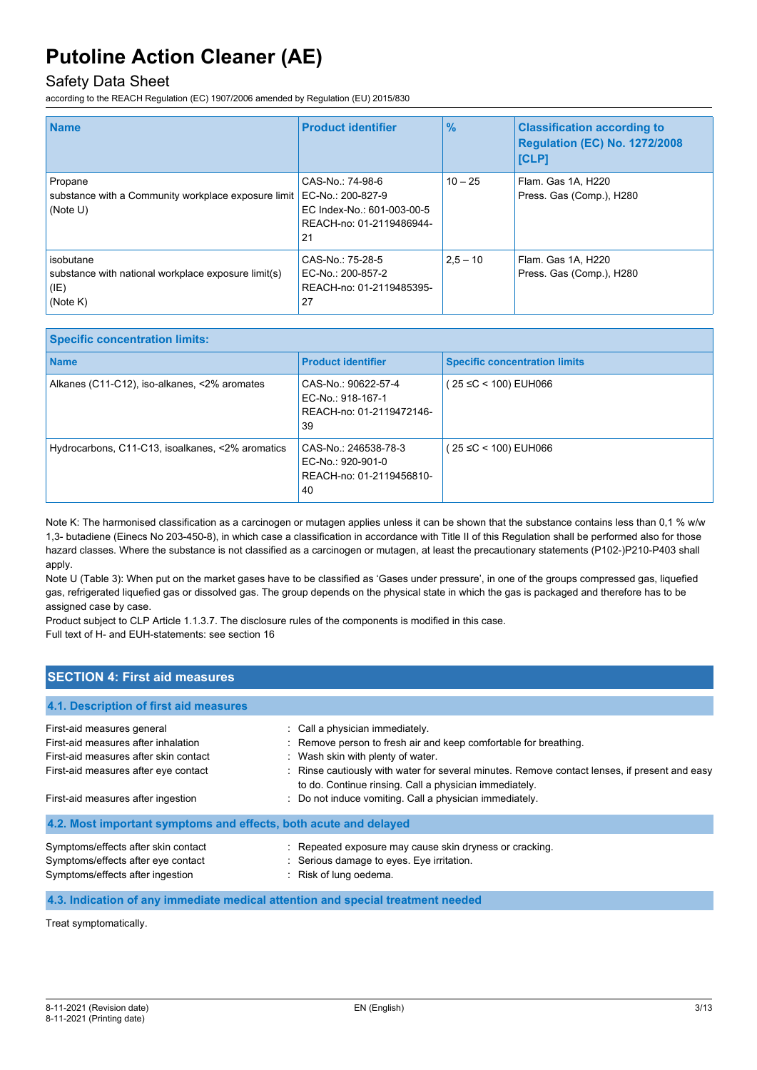### Safety Data Sheet

according to the REACH Regulation (EC) 1907/2006 amended by Regulation (EU) 2015/830

| <b>Name</b>                                                                          | <b>Product identifier</b>                                                                             | $\frac{9}{6}$ | <b>Classification according to</b><br><b>Regulation (EC) No. 1272/2008</b><br><b>ICLP1</b> |
|--------------------------------------------------------------------------------------|-------------------------------------------------------------------------------------------------------|---------------|--------------------------------------------------------------------------------------------|
| Propane<br>substance with a Community workplace exposure limit<br>(Note U)           | CAS-No.: 74-98-6<br>EC-No.: 200-827-9<br>EC Index-No.: 601-003-00-5<br>REACH-no: 01-2119486944-<br>21 | $10 - 25$     | Flam. Gas 1A, H220<br>Press. Gas (Comp.), H280                                             |
| isobutane<br>substance with national workplace exposure limit(s)<br>(IE)<br>(Note K) | CAS-No.: 75-28-5<br>EC-No.: 200-857-2<br>REACH-no: 01-2119485395-<br>27                               | $2.5 - 10$    | Flam. Gas 1A, H220<br>Press. Gas (Comp.), H280                                             |

| <b>Specific concentration limits:</b>            |                                                                             |                                      |
|--------------------------------------------------|-----------------------------------------------------------------------------|--------------------------------------|
| <b>Name</b>                                      | <b>Product identifier</b>                                                   | <b>Specific concentration limits</b> |
| Alkanes (C11-C12), iso-alkanes, <2% aromates     | CAS-No.: 90622-57-4<br>EC-No.: 918-167-1<br>REACH-no: 01-2119472146-<br>39  | $(25 \le C < 100)$ EUH066            |
| Hydrocarbons, C11-C13, isoalkanes, <2% aromatics | CAS-No.: 246538-78-3<br>EC-No.: 920-901-0<br>REACH-no: 01-2119456810-<br>40 | $(25 \le C < 100)$ EUH066            |

Note K: The harmonised classification as a carcinogen or mutagen applies unless it can be shown that the substance contains less than 0,1 % w/w 1,3- butadiene (Einecs No 203-450-8), in which case a classification in accordance with Title II of this Regulation shall be performed also for those hazard classes. Where the substance is not classified as a carcinogen or mutagen, at least the precautionary statements (P102-)P210-P403 shall apply.

Note U (Table 3): When put on the market gases have to be classified as 'Gases under pressure', in one of the groups compressed gas, liquefied gas, refrigerated liquefied gas or dissolved gas. The group depends on the physical state in which the gas is packaged and therefore has to be assigned case by case.

Product subject to CLP Article 1.1.3.7. The disclosure rules of the components is modified in this case. Full text of H- and EUH-statements: see section 16

### **SECTION 4: First aid measures**

| First-aid measures general                                       | : Call a physician immediately.                                                                                                                         |
|------------------------------------------------------------------|---------------------------------------------------------------------------------------------------------------------------------------------------------|
| First-aid measures after inhalation                              | : Remove person to fresh air and keep comfortable for breathing.                                                                                        |
| First-aid measures after skin contact                            | : Wash skin with plenty of water.                                                                                                                       |
| First-aid measures after eye contact                             | : Rinse cautiously with water for several minutes. Remove contact lenses, if present and easy<br>to do. Continue rinsing. Call a physician immediately. |
| First-aid measures after ingestion                               | : Do not induce vomiting. Call a physician immediately.                                                                                                 |
| 4.2. Most important symptoms and effects, both acute and delayed |                                                                                                                                                         |
| Symptoms/effects after skin contact                              | : Repeated exposure may cause skin dryness or cracking.                                                                                                 |
| Symptoms/effects after eye contact                               | : Serious damage to eyes. Eye irritation.                                                                                                               |
| Symptoms/effects after ingestion                                 | : Risk of lung oedema.                                                                                                                                  |

#### **4.3. Indication of any immediate medical attention and special treatment needed**

Treat symptomatically.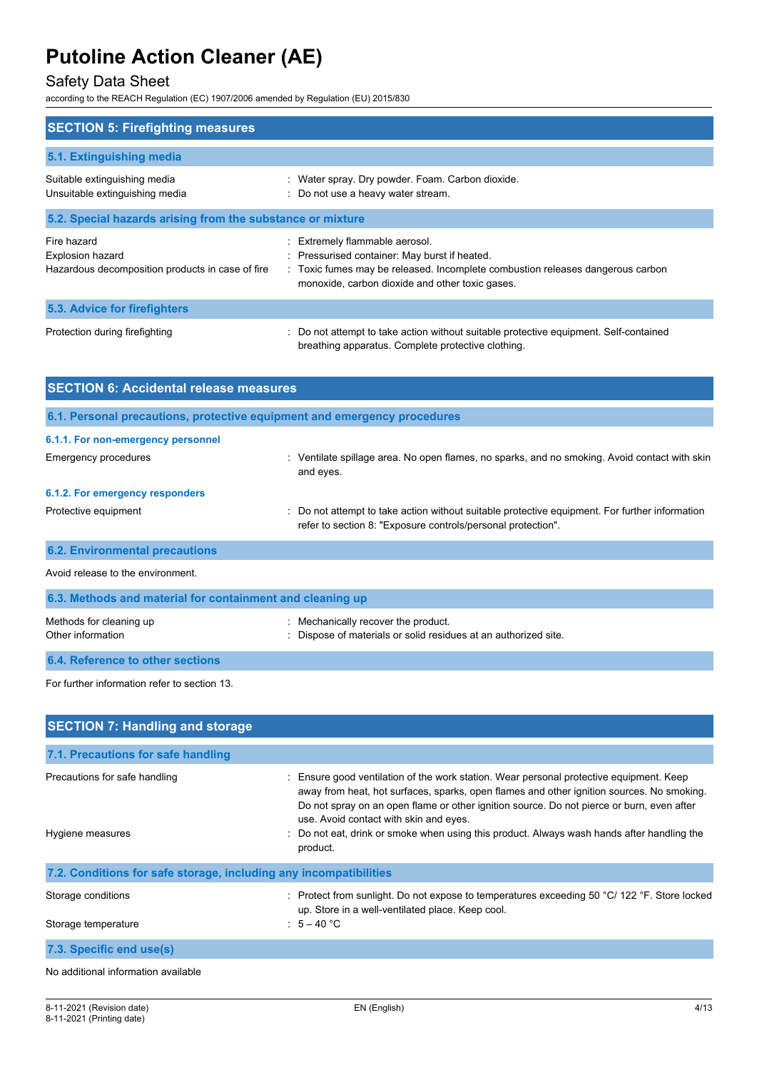## Safety Data Sheet

according to the REACH Regulation (EC) 1907/2006 amended by Regulation (EU) 2015/830

| <b>SECTION 5: Firefighting measures</b>                                                    |                                                                                                                                                                                                                      |  |
|--------------------------------------------------------------------------------------------|----------------------------------------------------------------------------------------------------------------------------------------------------------------------------------------------------------------------|--|
| 5.1. Extinguishing media                                                                   |                                                                                                                                                                                                                      |  |
| Suitable extinguishing media<br>Unsuitable extinguishing media                             | : Water spray. Dry powder. Foam. Carbon dioxide.<br>: Do not use a heavy water stream.                                                                                                                               |  |
| 5.2. Special hazards arising from the substance or mixture                                 |                                                                                                                                                                                                                      |  |
| Fire hazard<br><b>Explosion hazard</b><br>Hazardous decomposition products in case of fire | : Extremely flammable aerosol.<br>: Pressurised container: May burst if heated.<br>: Toxic fumes may be released. Incomplete combustion releases dangerous carbon<br>monoxide, carbon dioxide and other toxic gases. |  |
| 5.3. Advice for firefighters                                                               |                                                                                                                                                                                                                      |  |
| Protection during firefighting                                                             | : Do not attempt to take action without suitable protective equipment. Self-contained<br>breathing apparatus. Complete protective clothing.                                                                          |  |

| <b>SECTION 6: Accidental release measures</b>                            |                                                                                                                                                                |  |
|--------------------------------------------------------------------------|----------------------------------------------------------------------------------------------------------------------------------------------------------------|--|
| 6.1. Personal precautions, protective equipment and emergency procedures |                                                                                                                                                                |  |
| 6.1.1. For non-emergency personnel                                       |                                                                                                                                                                |  |
| Emergency procedures                                                     | : Ventilate spillage area. No open flames, no sparks, and no smoking. Avoid contact with skin<br>and eyes.                                                     |  |
| 6.1.2. For emergency responders                                          |                                                                                                                                                                |  |
| Protective equipment                                                     | : Do not attempt to take action without suitable protective equipment. For further information<br>refer to section 8: "Exposure controls/personal protection". |  |
| <b>6.2. Environmental precautions</b>                                    |                                                                                                                                                                |  |
| Avoid release to the environment.                                        |                                                                                                                                                                |  |
| 6.3. Methods and material for containment and cleaning up                |                                                                                                                                                                |  |
| Methods for cleaning up<br>Other information                             | : Mechanically recover the product.<br>: Dispose of materials or solid residues at an authorized site.                                                         |  |
| 6.4. Reference to other sections                                         |                                                                                                                                                                |  |
| For further information refer to section 13.                             |                                                                                                                                                                |  |

| <b>SECTION 7: Handling and storage</b>                            |                                                                                                                                                                                                                                                                                                                                                                                                                                   |  |
|-------------------------------------------------------------------|-----------------------------------------------------------------------------------------------------------------------------------------------------------------------------------------------------------------------------------------------------------------------------------------------------------------------------------------------------------------------------------------------------------------------------------|--|
| 7.1. Precautions for safe handling                                |                                                                                                                                                                                                                                                                                                                                                                                                                                   |  |
| Precautions for safe handling<br>Hygiene measures                 | Ensure good ventilation of the work station. Wear personal protective equipment. Keep<br>away from heat, hot surfaces, sparks, open flames and other ignition sources. No smoking.<br>Do not spray on an open flame or other ignition source. Do not pierce or burn, even after<br>use. Avoid contact with skin and eyes.<br>Do not eat, drink or smoke when using this product. Always wash hands after handling the<br>product. |  |
| 7.2. Conditions for safe storage, including any incompatibilities |                                                                                                                                                                                                                                                                                                                                                                                                                                   |  |
| Storage conditions<br>Storage temperature                         | : Protect from sunlight. Do not expose to temperatures exceeding 50 °C/ 122 °F. Store locked<br>up. Store in a well-ventilated place. Keep cool.<br>$\therefore$ 5 – 40 °C                                                                                                                                                                                                                                                        |  |
| 7.3. Specific end use(s)                                          |                                                                                                                                                                                                                                                                                                                                                                                                                                   |  |
| No additional information available                               |                                                                                                                                                                                                                                                                                                                                                                                                                                   |  |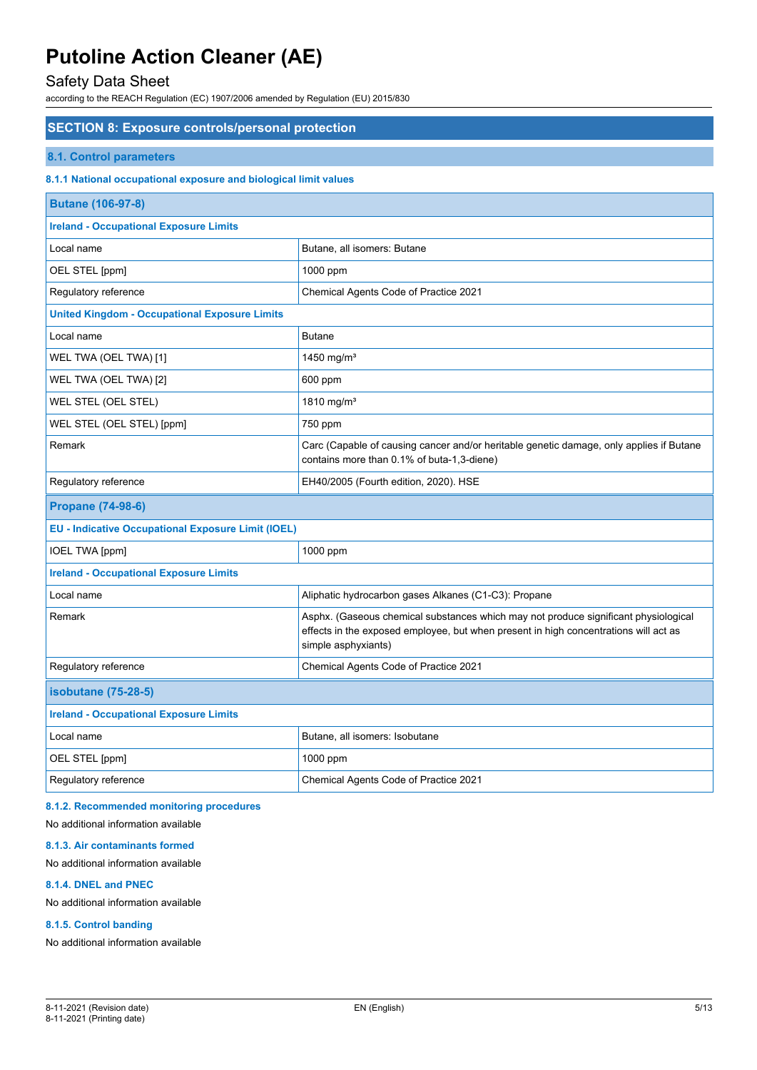## Safety Data Sheet

according to the REACH Regulation (EC) 1907/2006 amended by Regulation (EU) 2015/830

#### **SECTION 8: Exposure controls/personal protection**

#### **8.1. Control parameters**

#### **8.1.1 National occupational exposure and biological limit values**

| <b>Butane (106-97-8)</b>                                  |                                                                                                                                                                                                    |  |
|-----------------------------------------------------------|----------------------------------------------------------------------------------------------------------------------------------------------------------------------------------------------------|--|
| <b>Ireland - Occupational Exposure Limits</b>             |                                                                                                                                                                                                    |  |
| Local name                                                | Butane, all isomers: Butane                                                                                                                                                                        |  |
| OEL STEL [ppm]                                            | 1000 ppm                                                                                                                                                                                           |  |
| Regulatory reference                                      | Chemical Agents Code of Practice 2021                                                                                                                                                              |  |
| <b>United Kingdom - Occupational Exposure Limits</b>      |                                                                                                                                                                                                    |  |
| Local name                                                | <b>Butane</b>                                                                                                                                                                                      |  |
| WEL TWA (OEL TWA) [1]                                     | 1450 mg/m $3$                                                                                                                                                                                      |  |
| WEL TWA (OEL TWA) [2]                                     | 600 ppm                                                                                                                                                                                            |  |
| WEL STEL (OEL STEL)                                       | 1810 mg/m <sup>3</sup>                                                                                                                                                                             |  |
| WEL STEL (OEL STEL) [ppm]                                 | 750 ppm                                                                                                                                                                                            |  |
| Remark                                                    | Carc (Capable of causing cancer and/or heritable genetic damage, only applies if Butane<br>contains more than 0.1% of buta-1,3-diene)                                                              |  |
| Regulatory reference                                      | EH40/2005 (Fourth edition, 2020). HSE                                                                                                                                                              |  |
|                                                           |                                                                                                                                                                                                    |  |
| <b>Propane (74-98-6)</b>                                  |                                                                                                                                                                                                    |  |
| <b>EU - Indicative Occupational Exposure Limit (IOEL)</b> |                                                                                                                                                                                                    |  |
| <b>IOEL TWA [ppm]</b>                                     | 1000 ppm                                                                                                                                                                                           |  |
| <b>Ireland - Occupational Exposure Limits</b>             |                                                                                                                                                                                                    |  |
| Local name                                                | Aliphatic hydrocarbon gases Alkanes (C1-C3): Propane                                                                                                                                               |  |
| Remark                                                    | Asphx. (Gaseous chemical substances which may not produce significant physiological<br>effects in the exposed employee, but when present in high concentrations will act as<br>simple asphyxiants) |  |
| Regulatory reference                                      | Chemical Agents Code of Practice 2021                                                                                                                                                              |  |
| <b>isobutane (75-28-5)</b>                                |                                                                                                                                                                                                    |  |
| <b>Ireland - Occupational Exposure Limits</b>             |                                                                                                                                                                                                    |  |
| Local name                                                | Butane, all isomers: Isobutane                                                                                                                                                                     |  |
| OEL STEL [ppm]                                            | 1000 ppm                                                                                                                                                                                           |  |

#### **8.1.2. Recommended monitoring procedures**

No additional information available

#### **8.1.3. Air contaminants formed**

#### No additional information available

#### **8.1.4. DNEL and PNEC**

No additional information available

#### **8.1.5. Control banding**

No additional information available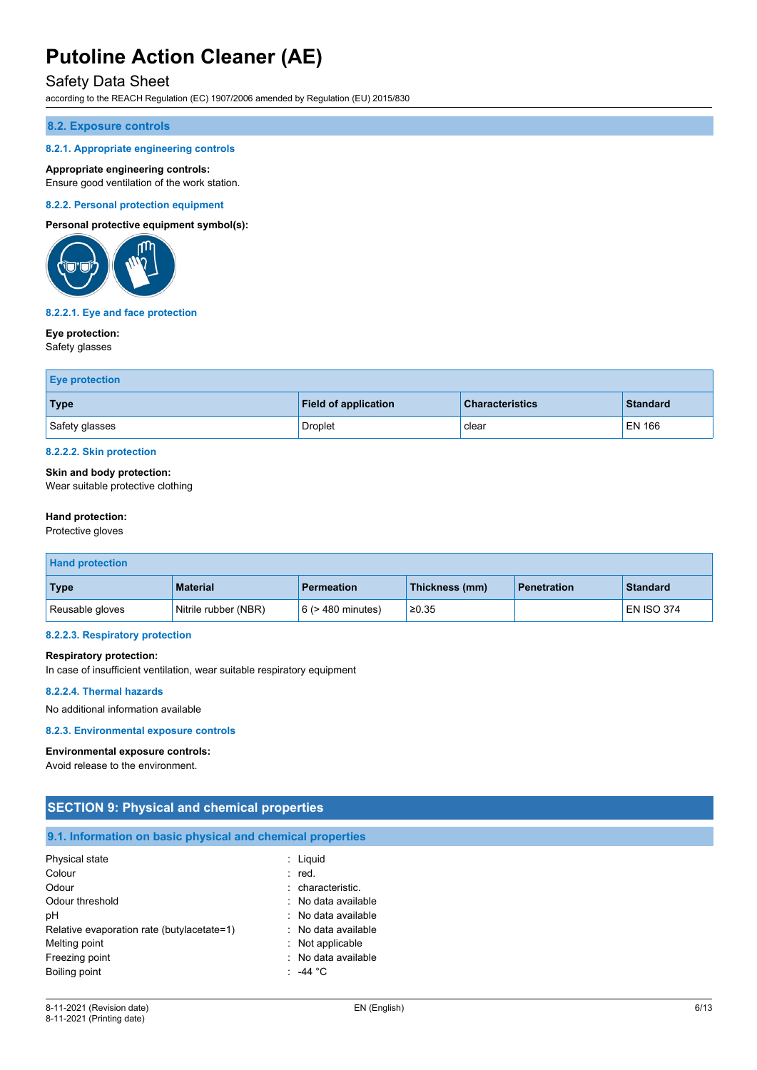### Safety Data Sheet

according to the REACH Regulation (EC) 1907/2006 amended by Regulation (EU) 2015/830

#### **8.2. Exposure controls**

#### **8.2.1. Appropriate engineering controls**

#### **Appropriate engineering controls:**

Ensure good ventilation of the work station.

#### **8.2.2. Personal protection equipment**

#### **Personal protective equipment symbol(s):**



#### **8.2.2.1. Eye and face protection**

#### **Eye protection:**

Safety glasses

| <b>Eye protection</b> |                             |                        |                 |
|-----------------------|-----------------------------|------------------------|-----------------|
| Type                  | <b>Field of application</b> | <b>Characteristics</b> | <b>Standard</b> |
| Safety glasses        | Droplet                     | clear                  | <b>EN 166</b>   |

#### **8.2.2.2. Skin protection**

#### **Skin and body protection:**

Wear suitable protective clothing

#### **Hand protection:**

Protective gloves

| <b>Hand protection</b> |                      |                        |                |                    |                   |
|------------------------|----------------------|------------------------|----------------|--------------------|-------------------|
| <b>Type</b>            | <b>Material</b>      | <b>Permeation</b>      | Thickness (mm) | <b>Penetration</b> | <b>Standard</b>   |
| Reusable gloves        | Nitrile rubber (NBR) | $6$ ( $>$ 480 minutes) | ≥0.35          |                    | <b>EN ISO 374</b> |

#### **8.2.2.3. Respiratory protection**

#### **Respiratory protection:**

In case of insufficient ventilation, wear suitable respiratory equipment

#### **8.2.2.4. Thermal hazards**

No additional information available

#### **8.2.3. Environmental exposure controls**

#### **Environmental exposure controls:**

Avoid release to the environment.

| <b>SECTION 9: Physical and chemical properties</b>         |                     |  |
|------------------------------------------------------------|---------------------|--|
| 9.1. Information on basic physical and chemical properties |                     |  |
| Physical state                                             | $:$ Liquid          |  |
| Colour                                                     | : red.              |  |
| Odour                                                      | : characteristic.   |  |
| Odour threshold                                            | : No data available |  |
| рH                                                         | : No data available |  |
| Relative evaporation rate (butylacetate=1)                 | : No data available |  |
| Melting point                                              | : Not applicable    |  |
| Freezing point                                             | No data available   |  |
| Boiling point                                              | $: -44 °C$          |  |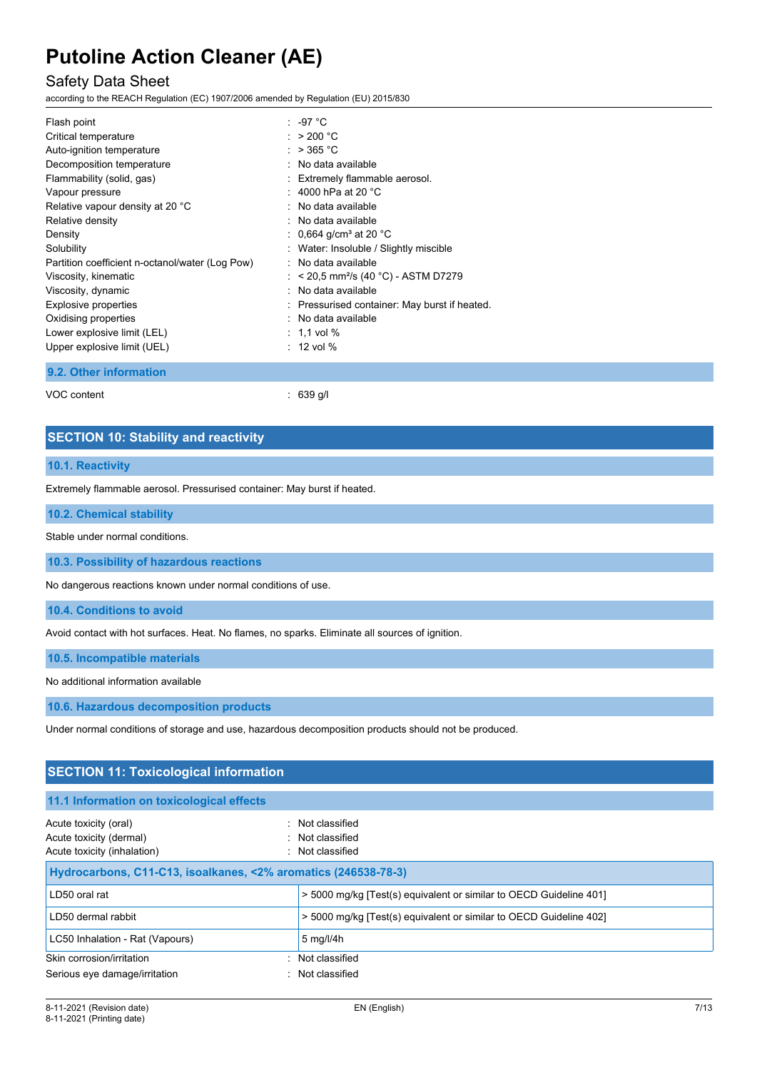### Safety Data Sheet

according to the REACH Regulation (EC) 1907/2006 amended by Regulation (EU) 2015/830

| Flash point                                     | : -97 °C                                      |
|-------------------------------------------------|-----------------------------------------------|
| Critical temperature                            | : $>200 °C$                                   |
| Auto-ignition temperature                       | : $>$ 365 °C                                  |
| Decomposition temperature                       | : No data available                           |
| Flammability (solid, gas)                       | : Extremely flammable aerosol.                |
| Vapour pressure                                 | : 4000 hPa at 20 $^{\circ}$ C                 |
| Relative vapour density at 20 °C                | : No data available                           |
| Relative density                                | : No data available                           |
| Density                                         | : 0,664 g/cm <sup>3</sup> at 20 °C            |
| Solubility                                      | : Water: Insoluble / Slightly miscible        |
| Partition coefficient n-octanol/water (Log Pow) | : No data available                           |
| Viscosity, kinematic                            | : $<$ 20,5 mm²/s (40 °C) - ASTM D7279         |
| Viscosity, dynamic                              | : No data available                           |
| Explosive properties                            | : Pressurised container: May burst if heated. |
| Oxidising properties                            | : No data available                           |
| Lower explosive limit (LEL)                     | $: 1.1$ vol $\%$                              |
| Upper explosive limit (UEL)                     | $: 12$ vol %                                  |
| 9.2. Other information                          |                                               |

VOC content : 639 g/l

### **SECTION 10: Stability and reactivity**

#### **10.1. Reactivity**

Extremely flammable aerosol. Pressurised container: May burst if heated.

#### **10.2. Chemical stability**

Stable under normal conditions.

**10.3. Possibility of hazardous reactions**

No dangerous reactions known under normal conditions of use.

**10.4. Conditions to avoid**

Avoid contact with hot surfaces. Heat. No flames, no sparks. Eliminate all sources of ignition.

**10.5. Incompatible materials**

No additional information available

**10.6. Hazardous decomposition products**

Under normal conditions of storage and use, hazardous decomposition products should not be produced.

| <b>SECTION 11: Toxicological information</b>                                    |                                                                    |  |  |
|---------------------------------------------------------------------------------|--------------------------------------------------------------------|--|--|
| 11.1 Information on toxicological effects                                       |                                                                    |  |  |
| Acute toxicity (oral)<br>Acute toxicity (dermal)<br>Acute toxicity (inhalation) | : Not classified<br>: Not classified<br>: Not classified           |  |  |
|                                                                                 | Hydrocarbons, C11-C13, isoalkanes, <2% aromatics (246538-78-3)     |  |  |
| LD50 oral rat                                                                   | > 5000 mg/kg [Test(s) equivalent or similar to OECD Guideline 401] |  |  |
| LD50 dermal rabbit                                                              | > 5000 mg/kg [Test(s) equivalent or similar to OECD Guideline 402] |  |  |
| LC50 Inhalation - Rat (Vapours)                                                 | $5 \text{ mg}/\frac{1}{4}$ h                                       |  |  |
| Skin corrosion/irritation                                                       | : Not classified                                                   |  |  |
| Serious eye damage/irritation                                                   | Not classified                                                     |  |  |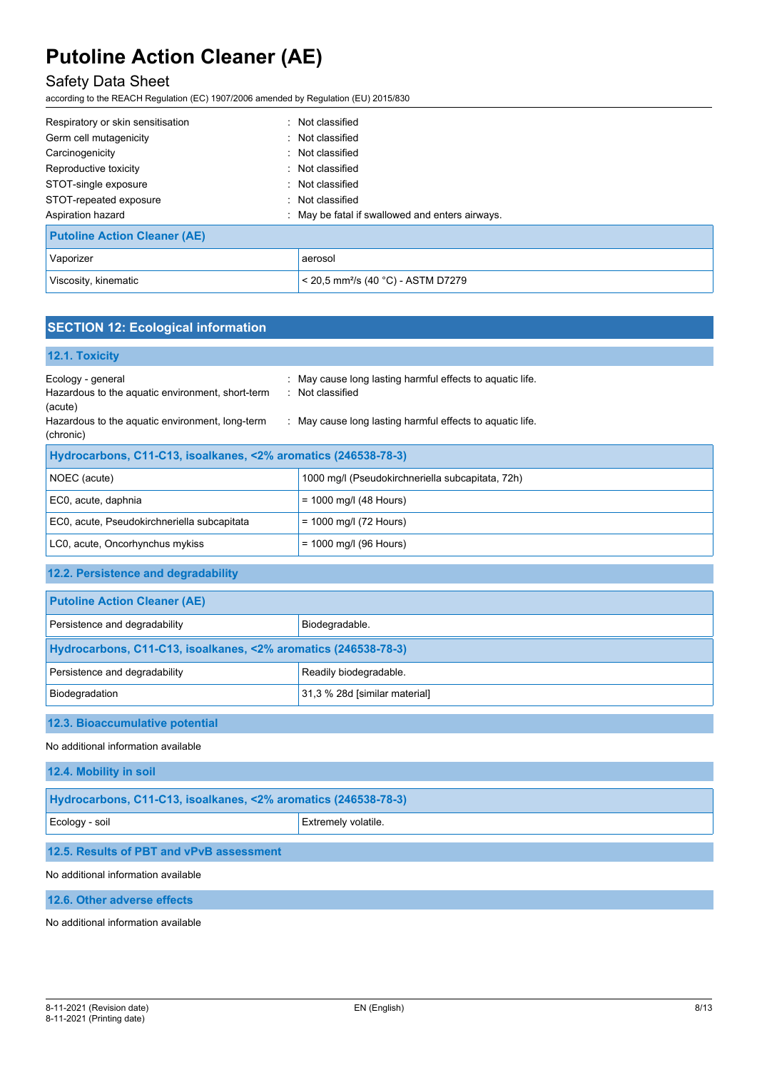## Safety Data Sheet

according to the REACH Regulation (EC) 1907/2006 amended by Regulation (EU) 2015/830

| Respiratory or skin sensitisation   | : Not classified                                 |
|-------------------------------------|--------------------------------------------------|
| Germ cell mutagenicity              | : Not classified                                 |
| Carcinogenicity                     | : Not classified                                 |
| Reproductive toxicity               | : Not classified                                 |
| STOT-single exposure                | : Not classified                                 |
| STOT-repeated exposure              | : Not classified                                 |
| Aspiration hazard                   | : May be fatal if swallowed and enters airways.  |
| <b>Putoline Action Cleaner (AE)</b> |                                                  |
| Vaporizer                           | aerosol                                          |
| Viscosity, kinematic                | $<$ 20,5 mm <sup>2</sup> /s (40 °C) - ASTM D7279 |

## **SECTION 12: Ecological information**

| 12.1. Toxicity                                                                                                                      |                                                                                                                                            |  |
|-------------------------------------------------------------------------------------------------------------------------------------|--------------------------------------------------------------------------------------------------------------------------------------------|--|
| Ecology - general<br>Hazardous to the aquatic environment, short-term<br>(acute)<br>Hazardous to the aquatic environment, long-term | : May cause long lasting harmful effects to aquatic life.<br>: Not classified<br>: May cause long lasting harmful effects to aquatic life. |  |
| (chronic)                                                                                                                           |                                                                                                                                            |  |
| Hydrocarbons, C11-C13, isoalkanes, <2% aromatics (246538-78-3)                                                                      |                                                                                                                                            |  |
| NOEC (acute)                                                                                                                        | 1000 mg/l (Pseudokirchneriella subcapitata, 72h)                                                                                           |  |
| EC0, acute, daphnia                                                                                                                 | $= 1000$ mg/l (48 Hours)                                                                                                                   |  |
| EC0, acute, Pseudokirchneriella subcapitata                                                                                         | $= 1000$ mg/l (72 Hours)                                                                                                                   |  |
| LC0, acute, Oncorhynchus mykiss                                                                                                     | $= 1000$ mg/l (96 Hours)                                                                                                                   |  |
|                                                                                                                                     |                                                                                                                                            |  |

### **12.2. Persistence and degradability**

| <b>Putoline Action Cleaner (AE)</b>                            |  |  |
|----------------------------------------------------------------|--|--|
| Persistence and degradability<br>Biodegradable.                |  |  |
| Hydrocarbons, C11-C13, isoalkanes, <2% aromatics (246538-78-3) |  |  |
| Persistence and degradability<br>Readily biodegradable.        |  |  |
| 31,3 % 28d [similar material]<br>Biodegradation                |  |  |

### **12.3. Bioaccumulative potential**

No additional information available

**12.4. Mobility in soil**

| Hydrocarbons, C11-C13, isoalkanes, <2% aromatics (246538-78-3) |  |  |
|----------------------------------------------------------------|--|--|
| Ecology - soil<br><b>Extremely volatile.</b>                   |  |  |
| 12.5. Results of PBT and vPvB assessment                       |  |  |

#### No additional information available

**12.6. Other adverse effects**

No additional information available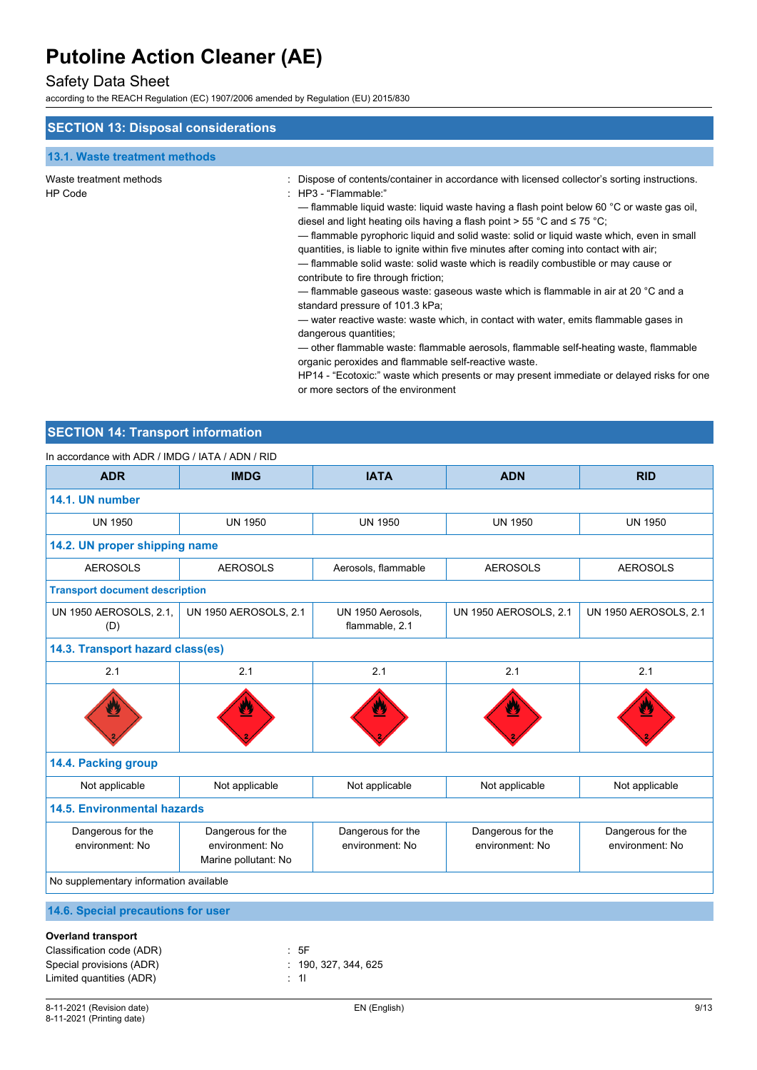## Safety Data Sheet

according to the REACH Regulation (EC) 1907/2006 amended by Regulation (EU) 2015/830

| <b>SECTION 13: Disposal considerations</b> |                                                                                                                                                                                                                                                                                                                                                                                                                                                                                                                                                                                                                                                                                                                                                                                                                                                                                                                                                                                                                                                                                                                                                                               |
|--------------------------------------------|-------------------------------------------------------------------------------------------------------------------------------------------------------------------------------------------------------------------------------------------------------------------------------------------------------------------------------------------------------------------------------------------------------------------------------------------------------------------------------------------------------------------------------------------------------------------------------------------------------------------------------------------------------------------------------------------------------------------------------------------------------------------------------------------------------------------------------------------------------------------------------------------------------------------------------------------------------------------------------------------------------------------------------------------------------------------------------------------------------------------------------------------------------------------------------|
| 13.1. Waste treatment methods              |                                                                                                                                                                                                                                                                                                                                                                                                                                                                                                                                                                                                                                                                                                                                                                                                                                                                                                                                                                                                                                                                                                                                                                               |
|                                            |                                                                                                                                                                                                                                                                                                                                                                                                                                                                                                                                                                                                                                                                                                                                                                                                                                                                                                                                                                                                                                                                                                                                                                               |
| Waste treatment methods<br><b>HP Code</b>  | Dispose of contents/container in accordance with licensed collector's sorting instructions.<br>$\therefore$ HP3 - "Flammable."<br>- flammable liquid waste: liquid waste having a flash point below 60 °C or waste gas oil,<br>diesel and light heating oils having a flash point $> 55 \degree C$ and $\leq 75 \degree C$ ;<br>- flammable pyrophoric liquid and solid waste: solid or liquid waste which, even in small<br>quantities, is liable to ignite within five minutes after coming into contact with air;<br>- flammable solid waste: solid waste which is readily combustible or may cause or<br>contribute to fire through friction;<br>— flammable gaseous waste: gaseous waste which is flammable in air at 20 °C and a<br>standard pressure of 101.3 kPa;<br>— water reactive waste: waste which, in contact with water, emits flammable gases in<br>dangerous quantities;<br>— other flammable waste: flammable aerosols, flammable self-heating waste, flammable<br>organic peroxides and flammable self-reactive waste.<br>HP14 - "Ecotoxic:" waste which presents or may present immediate or delayed risks for one<br>or more sectors of the environment |

## **SECTION 14: Transport information**

| In accordance with ADR / IMDG / IATA / ADN / RID |                                                              |                                      |                                      |                                      |  |  |  |
|--------------------------------------------------|--------------------------------------------------------------|--------------------------------------|--------------------------------------|--------------------------------------|--|--|--|
| <b>ADR</b>                                       | <b>IMDG</b>                                                  | <b>IATA</b>                          | <b>ADN</b>                           | <b>RID</b>                           |  |  |  |
| 14.1. UN number                                  |                                                              |                                      |                                      |                                      |  |  |  |
| <b>UN 1950</b>                                   | <b>UN 1950</b>                                               | <b>UN 1950</b>                       | <b>UN 1950</b>                       | <b>UN 1950</b>                       |  |  |  |
|                                                  | 14.2. UN proper shipping name                                |                                      |                                      |                                      |  |  |  |
| <b>AEROSOLS</b>                                  | <b>AEROSOLS</b>                                              | Aerosols, flammable                  | <b>AEROSOLS</b>                      | <b>AEROSOLS</b>                      |  |  |  |
| <b>Transport document description</b>            |                                                              |                                      |                                      |                                      |  |  |  |
| UN 1950 AEROSOLS, 2.1,<br>(D)                    | <b>UN 1950 AEROSOLS, 2.1</b>                                 | UN 1950 Aerosols,<br>flammable, 2.1  | <b>UN 1950 AEROSOLS, 2.1</b>         | <b>UN 1950 AEROSOLS, 2.1</b>         |  |  |  |
| 14.3. Transport hazard class(es)                 |                                                              |                                      |                                      |                                      |  |  |  |
| 2.1                                              | 2.1                                                          | 2.1                                  | 2.1                                  | 2.1                                  |  |  |  |
|                                                  |                                                              |                                      |                                      |                                      |  |  |  |
| 14.4. Packing group                              |                                                              |                                      |                                      |                                      |  |  |  |
| Not applicable                                   | Not applicable                                               | Not applicable                       | Not applicable                       | Not applicable                       |  |  |  |
| <b>14.5. Environmental hazards</b>               |                                                              |                                      |                                      |                                      |  |  |  |
| Dangerous for the<br>environment: No             | Dangerous for the<br>environment: No<br>Marine pollutant: No | Dangerous for the<br>environment: No | Dangerous for the<br>environment: No | Dangerous for the<br>environment: No |  |  |  |
| No supplementary information available           |                                                              |                                      |                                      |                                      |  |  |  |
| 14.6. Special precautions for user               |                                                              |                                      |                                      |                                      |  |  |  |

| <b>Overland transport</b> |  |
|---------------------------|--|
|---------------------------|--|

| Classification code (ADR) | : 5F              |
|---------------------------|-------------------|
| Special provisions (ADR)  | . 190.327.344.625 |
| Limited quantities (ADR)  | : 11              |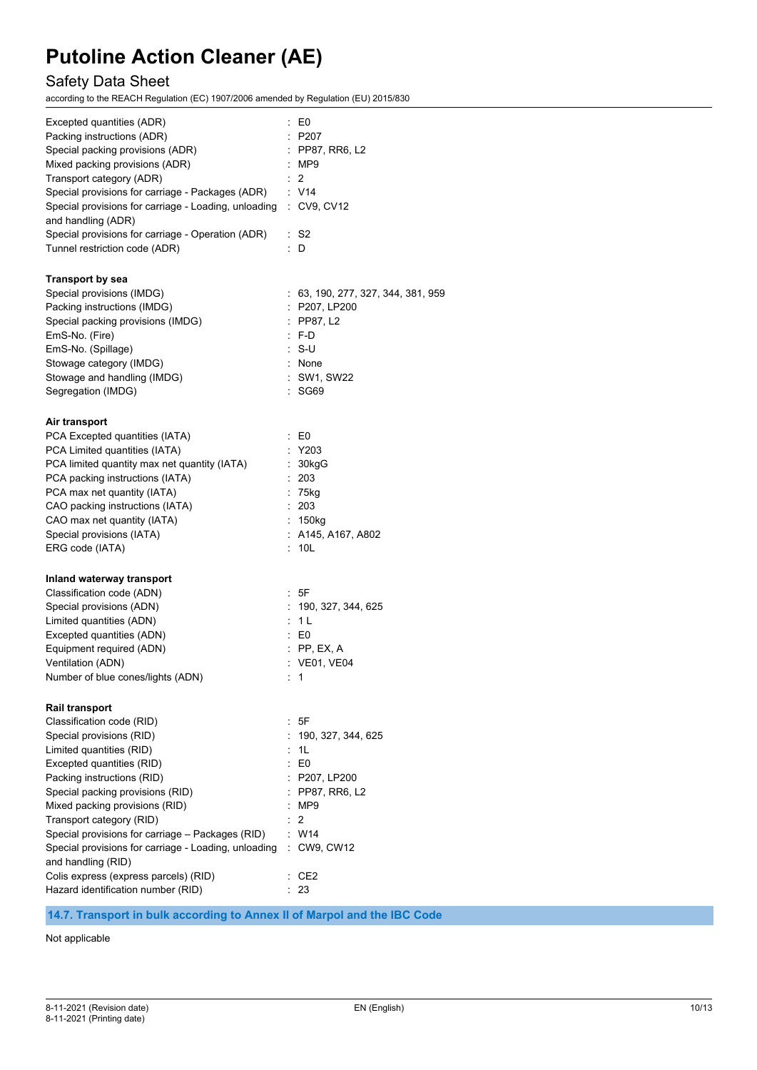## Safety Data Sheet

according to the REACH Regulation (EC) 1907/2006 amended by Regulation (EU) 2015/830

| Excepted quantities (ADR)<br>Packing instructions (ADR)<br>Special packing provisions (ADR)<br>Mixed packing provisions (ADR)<br>Transport category (ADR)<br>Special provisions for carriage - Packages (ADR)<br>Special provisions for carriage - Loading, unloading<br>and handling (ADR)<br>Special provisions for carriage - Operation (ADR)<br>Tunnel restriction code (ADR) | : E0<br>: P207<br>$\therefore$ PP87, RR6, L2<br>: MP9<br>$\cdot$ 2<br>: V14<br>: CV9, CV12<br>: S2<br>: D |
|-----------------------------------------------------------------------------------------------------------------------------------------------------------------------------------------------------------------------------------------------------------------------------------------------------------------------------------------------------------------------------------|-----------------------------------------------------------------------------------------------------------|
| <b>Transport by sea</b>                                                                                                                                                                                                                                                                                                                                                           |                                                                                                           |
| Special provisions (IMDG)                                                                                                                                                                                                                                                                                                                                                         | : 63, 190, 277, 327, 344, 381, 959                                                                        |
| Packing instructions (IMDG)                                                                                                                                                                                                                                                                                                                                                       | : P207, LP200                                                                                             |
| Special packing provisions (IMDG)                                                                                                                                                                                                                                                                                                                                                 | $:$ PP87, L2                                                                                              |
| EmS-No. (Fire)                                                                                                                                                                                                                                                                                                                                                                    | $\cdot$ F-D                                                                                               |
| EmS-No. (Spillage)                                                                                                                                                                                                                                                                                                                                                                | ∴ S-U                                                                                                     |
| Stowage category (IMDG)                                                                                                                                                                                                                                                                                                                                                           | : None                                                                                                    |
| Stowage and handling (IMDG)                                                                                                                                                                                                                                                                                                                                                       | : SW1, SW22                                                                                               |
| Segregation (IMDG)                                                                                                                                                                                                                                                                                                                                                                | : SG69                                                                                                    |
| Air transport                                                                                                                                                                                                                                                                                                                                                                     |                                                                                                           |
| PCA Excepted quantities (IATA)                                                                                                                                                                                                                                                                                                                                                    | $\mathbf{E}$ E0                                                                                           |
| PCA Limited quantities (IATA)                                                                                                                                                                                                                                                                                                                                                     | : Y203                                                                                                    |
| PCA limited quantity max net quantity (IATA)                                                                                                                                                                                                                                                                                                                                      | : 30kgG                                                                                                   |
| PCA packing instructions (IATA)                                                                                                                                                                                                                                                                                                                                                   | t.<br>203                                                                                                 |
| PCA max net quantity (IATA)                                                                                                                                                                                                                                                                                                                                                       | $: 75$ kg                                                                                                 |
| CAO packing instructions (IATA)                                                                                                                                                                                                                                                                                                                                                   | : 203                                                                                                     |
| CAO max net quantity (IATA)                                                                                                                                                                                                                                                                                                                                                       | : 150kg                                                                                                   |
| Special provisions (IATA)                                                                                                                                                                                                                                                                                                                                                         | $:$ A145, A167, A802                                                                                      |
| ERG code (IATA)                                                                                                                                                                                                                                                                                                                                                                   | : 10L                                                                                                     |
| Inland waterway transport                                                                                                                                                                                                                                                                                                                                                         |                                                                                                           |
| Classification code (ADN)                                                                                                                                                                                                                                                                                                                                                         | : 5F                                                                                                      |
| Special provisions (ADN)                                                                                                                                                                                                                                                                                                                                                          | : 190, 327, 344, 625                                                                                      |
| Limited quantities (ADN)                                                                                                                                                                                                                                                                                                                                                          | : 1 L                                                                                                     |
| Excepted quantities (ADN)                                                                                                                                                                                                                                                                                                                                                         | $\therefore$ EO                                                                                           |
| Equipment required (ADN)                                                                                                                                                                                                                                                                                                                                                          | $:$ PP, EX, A                                                                                             |
| Ventilation (ADN)                                                                                                                                                                                                                                                                                                                                                                 | : VE01, VE04                                                                                              |
| Number of blue cones/lights (ADN)                                                                                                                                                                                                                                                                                                                                                 | 1                                                                                                         |
| <b>Rail transport</b>                                                                                                                                                                                                                                                                                                                                                             |                                                                                                           |
| Classification code (RID)                                                                                                                                                                                                                                                                                                                                                         | : 5F                                                                                                      |
| Special provisions (RID)                                                                                                                                                                                                                                                                                                                                                          | 190, 327, 344, 625                                                                                        |
| Limited quantities (RID)                                                                                                                                                                                                                                                                                                                                                          | : 1L                                                                                                      |
| Excepted quantities (RID)                                                                                                                                                                                                                                                                                                                                                         | $\therefore$ EO                                                                                           |
| Packing instructions (RID)                                                                                                                                                                                                                                                                                                                                                        | : P207, LP200                                                                                             |
| Special packing provisions (RID)                                                                                                                                                                                                                                                                                                                                                  | : PP87, RR6, L2                                                                                           |
| Mixed packing provisions (RID)                                                                                                                                                                                                                                                                                                                                                    | : MP9                                                                                                     |
| Transport category (RID)                                                                                                                                                                                                                                                                                                                                                          | 2                                                                                                         |
| Special provisions for carriage - Packages (RID)                                                                                                                                                                                                                                                                                                                                  | W14                                                                                                       |
| Special provisions for carriage - Loading, unloading                                                                                                                                                                                                                                                                                                                              | : CW9, CW12                                                                                               |
| and handling (RID)                                                                                                                                                                                                                                                                                                                                                                |                                                                                                           |
| Colis express (express parcels) (RID)                                                                                                                                                                                                                                                                                                                                             | $\cdot$ CE2                                                                                               |
| Hazard identification number (RID)                                                                                                                                                                                                                                                                                                                                                | : 23                                                                                                      |
|                                                                                                                                                                                                                                                                                                                                                                                   |                                                                                                           |

### **14.7. Transport in bulk according to Annex II of Marpol and the IBC Code**

Not applicable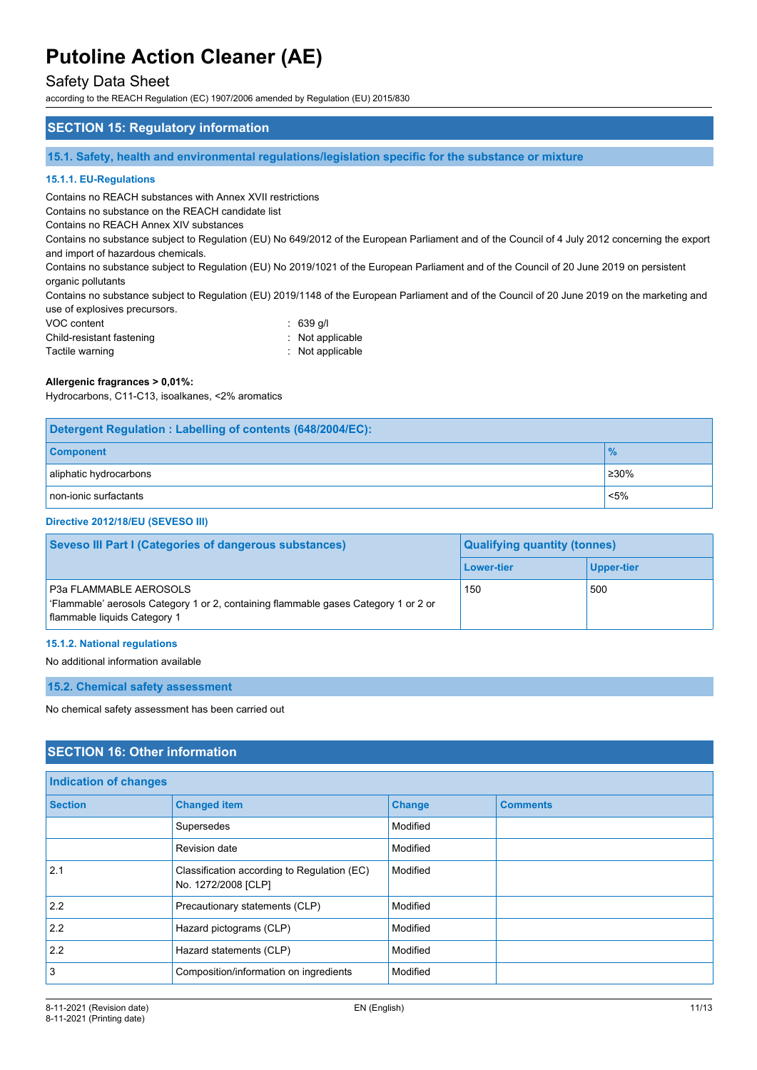### Safety Data Sheet

according to the REACH Regulation (EC) 1907/2006 amended by Regulation (EU) 2015/830

#### **SECTION 15: Regulatory information**

**15.1. Safety, health and environmental regulations/legislation specific for the substance or mixture**

#### **15.1.1. EU-Regulations**

Contains no REACH substances with Annex XVII restrictions

Contains no substance on the REACH candidate list

Contains no REACH Annex XIV substances

Contains no substance subject to Regulation (EU) No 649/2012 of the European Parliament and of the Council of 4 July 2012 concerning the export and import of hazardous chemicals.

Contains no substance subject to Regulation (EU) No 2019/1021 of the European Parliament and of the Council of 20 June 2019 on persistent organic pollutants

Contains no substance subject to Regulation (EU) 2019/1148 of the European Parliament and of the Council of 20 June 2019 on the marketing and use of explosives precursors.

| VOC content               | $\therefore$ 639 g/l |
|---------------------------|----------------------|
| Child-resistant fastening | : Not applicable     |
| Tactile warning           | : Not applicable     |

#### **Allergenic fragrances > 0,01%:**

Hydrocarbons, C11-C13, isoalkanes, <2% aromatics

| Detergent Regulation: Labelling of contents (648/2004/EC): |               |  |
|------------------------------------------------------------|---------------|--|
| <b>Component</b>                                           | $\frac{9}{6}$ |  |
| aliphatic hydrocarbons                                     | ≥30%          |  |
| non-ionic surfactants                                      | $< 5\%$       |  |

#### **Directive 2012/18/EU (SEVESO III)**

| <b>Seveso III Part I (Categories of dangerous substances)</b>                                                                                        | <b>Qualifying quantity (tonnes)</b> |                   |  |
|------------------------------------------------------------------------------------------------------------------------------------------------------|-------------------------------------|-------------------|--|
|                                                                                                                                                      | Lower-tier                          | <b>Upper-tier</b> |  |
| <b>P3a FLAMMABLE AEROSOLS</b><br>'Flammable' aerosols Category 1 or 2, containing flammable gases Category 1 or 2 or<br>flammable liquids Category 1 | 150                                 | 500               |  |

#### **15.1.2. National regulations**

#### No additional information available

**15.2. Chemical safety assessment**

No chemical safety assessment has been carried out

### **SECTION 16: Other information**

| Indication of changes |                                                                    |               |                 |
|-----------------------|--------------------------------------------------------------------|---------------|-----------------|
| <b>Section</b>        | <b>Changed item</b>                                                | <b>Change</b> | <b>Comments</b> |
|                       | Supersedes                                                         | Modified      |                 |
|                       | Revision date                                                      | Modified      |                 |
| 2.1                   | Classification according to Regulation (EC)<br>No. 1272/2008 [CLP] | Modified      |                 |
| 2.2                   | Precautionary statements (CLP)                                     | Modified      |                 |
| 2.2                   | Hazard pictograms (CLP)                                            | Modified      |                 |
| 2.2                   | Hazard statements (CLP)                                            | Modified      |                 |
| $\overline{3}$        | Composition/information on ingredients                             | Modified      |                 |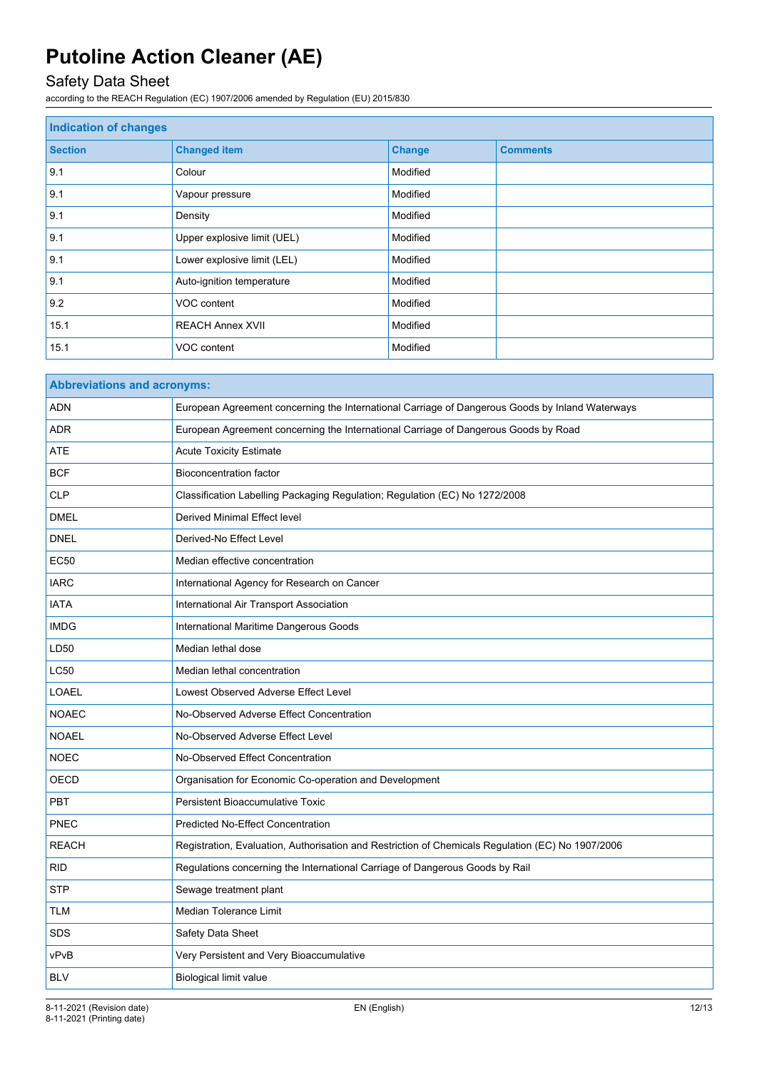## Safety Data Sheet

according to the REACH Regulation (EC) 1907/2006 amended by Regulation (EU) 2015/830

| <b>Indication of changes</b> |                             |               |                 |
|------------------------------|-----------------------------|---------------|-----------------|
| <b>Section</b>               | <b>Changed item</b>         | <b>Change</b> | <b>Comments</b> |
| 9.1                          | Colour                      | Modified      |                 |
| 9.1                          | Vapour pressure             | Modified      |                 |
| 9.1                          | Density                     | Modified      |                 |
| 9.1                          | Upper explosive limit (UEL) | Modified      |                 |
| 9.1                          | Lower explosive limit (LEL) | Modified      |                 |
| 9.1                          | Auto-ignition temperature   | Modified      |                 |
| 9.2                          | VOC content                 | Modified      |                 |
| 15.1                         | <b>REACH Annex XVII</b>     | Modified      |                 |
| 15.1                         | VOC content                 | Modified      |                 |

| <b>Abbreviations and acronyms:</b> |                                                                                                   |  |  |
|------------------------------------|---------------------------------------------------------------------------------------------------|--|--|
| <b>ADN</b>                         | European Agreement concerning the International Carriage of Dangerous Goods by Inland Waterways   |  |  |
| <b>ADR</b>                         | European Agreement concerning the International Carriage of Dangerous Goods by Road               |  |  |
| <b>ATE</b>                         | <b>Acute Toxicity Estimate</b>                                                                    |  |  |
| <b>BCF</b>                         | <b>Bioconcentration factor</b>                                                                    |  |  |
| <b>CLP</b>                         | Classification Labelling Packaging Regulation; Regulation (EC) No 1272/2008                       |  |  |
| <b>DMEL</b>                        | <b>Derived Minimal Effect level</b>                                                               |  |  |
| <b>DNEL</b>                        | Derived-No Effect Level                                                                           |  |  |
| <b>EC50</b>                        | Median effective concentration                                                                    |  |  |
| <b>IARC</b>                        | International Agency for Research on Cancer                                                       |  |  |
| <b>IATA</b>                        | International Air Transport Association                                                           |  |  |
| <b>IMDG</b>                        | International Maritime Dangerous Goods                                                            |  |  |
| LD50                               | Median lethal dose                                                                                |  |  |
| <b>LC50</b>                        | Median lethal concentration                                                                       |  |  |
| <b>LOAEL</b>                       | Lowest Observed Adverse Effect Level                                                              |  |  |
| <b>NOAEC</b>                       | No-Observed Adverse Effect Concentration                                                          |  |  |
| <b>NOAEL</b>                       | No-Observed Adverse Effect Level                                                                  |  |  |
| <b>NOEC</b>                        | No-Observed Effect Concentration                                                                  |  |  |
| <b>OECD</b>                        | Organisation for Economic Co-operation and Development                                            |  |  |
| PBT                                | Persistent Bioaccumulative Toxic                                                                  |  |  |
| PNEC                               | <b>Predicted No-Effect Concentration</b>                                                          |  |  |
| <b>REACH</b>                       | Registration, Evaluation, Authorisation and Restriction of Chemicals Regulation (EC) No 1907/2006 |  |  |
| <b>RID</b>                         | Regulations concerning the International Carriage of Dangerous Goods by Rail                      |  |  |
| <b>STP</b>                         | Sewage treatment plant                                                                            |  |  |
| TLM                                | Median Tolerance Limit                                                                            |  |  |
| <b>SDS</b>                         | Safety Data Sheet                                                                                 |  |  |
| vPvB                               | Very Persistent and Very Bioaccumulative                                                          |  |  |
| <b>BLV</b>                         | Biological limit value                                                                            |  |  |